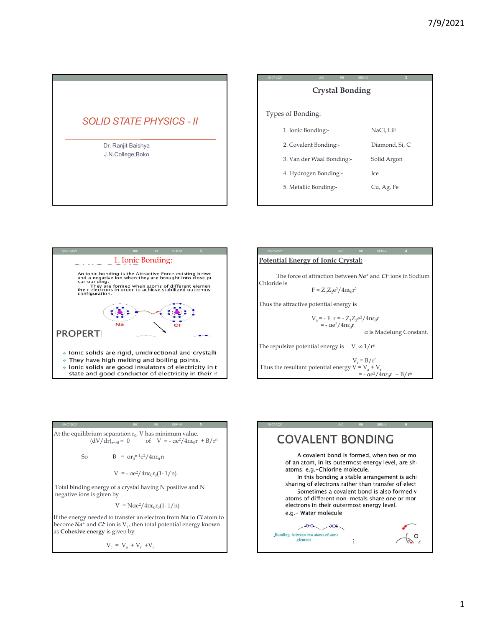| 7/9/2021<br>SEM-VI<br>09-07-202<br><b>Crystal Bonding</b><br>Types of Bonding:<br><b>SOLID STATE PHYSICS - II</b><br>NaCl, LiF<br>1. Ionic Bonding:-<br>2. Covalent Bonding:-<br>Diamond, Si, C<br>Dr. Ranjit Baishya<br>J.N.College;Boko<br>3. Van der Waal Bonding:-<br>Solid Argon<br>4. Hydrogen Bonding:-<br>Ice<br>5. Metallic Bonding:-<br>Cu, Ag, Fe |
|--------------------------------------------------------------------------------------------------------------------------------------------------------------------------------------------------------------------------------------------------------------------------------------------------------------------------------------------------------------|
|                                                                                                                                                                                                                                                                                                                                                              |
|                                                                                                                                                                                                                                                                                                                                                              |
|                                                                                                                                                                                                                                                                                                                                                              |





At the equilibrium separation  $r_0$ , V has minimum value.<br>(dV/dr)<sub>r=r0</sub> = 0 of V = -  $\alpha e^2/4\pi\epsilon_0 r + B/r^n$ 

So 
$$
B = \alpha r_0^{n-1} e^2 / 4 \pi \epsilon_0 n
$$

$$
V = -\alpha e^2 / 4\pi \epsilon_0 r_0 (1 - 1/n)
$$

Total binding energy of a crystal having N positive and N negative ions is given by

 $V = N\alpha e^2/4\pi\epsilon_0 r_0(1-1/n)$   $\epsilon$ 

If the energy needed to transfer an electron from  $Na$  to  $Cl$  atom to  $\begin{array}{|l|l|} \hline \textbf{e.g.}-\textbf{Water molecule} \end{array}$ become  $Na^+$  and  $Cl$ <sup>-</sup> ion is  $V_i$ , then total potential energy known<br>as C**ohesive energy** is given by

 $V_c = V_a + V_r + V_i$